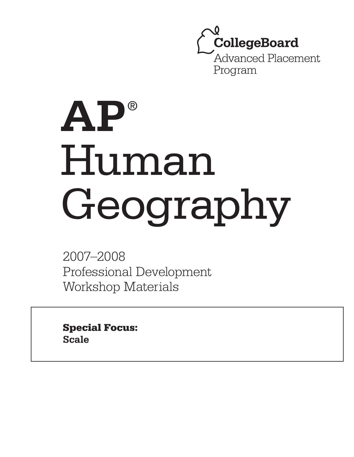

# **AP** ® Human Geography

2007–2008 Professional Development Workshop Materials

Special Focus: **Scale**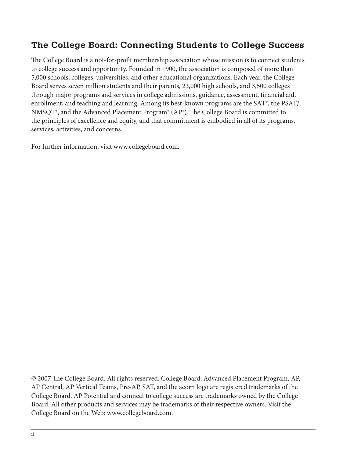# **The College Board: Connecting Students to College Success**

The College Board is a not-for-profit membership association whose mission is to connect students to college success and opportunity. Founded in 1900, the association is composed of more than 5,000 schools, colleges, universities, and other educational organizations. Each year, the College Board serves seven million students and their parents, 23,000 high schools, and 3,500 colleges through major programs and services in college admissions, guidance, assessment, financial aid, enrollment, and teaching and learning. Among its best-known programs are the SAT®, the PSAT/ NMSQT<sup>®</sup>, and the Advanced Placement Program® (AP®). The College Board is committed to the principles of excellence and equity, and that commitment is embodied in all of its programs, services, activities, and concerns.

For further information, visit www.collegeboard.com.

© 2007 The College Board. All rights reserved. College Board, Advanced Placement Program, AP, AP Central, AP Vertical Teams, Pre-AP, SAT, and the acorn logo are registered trademarks of the College Board. AP Potential and connect to college success are trademarks owned by the College Board. All other products and services may be trademarks of their respective owners. Visit the College Board on the Web: www.collegeboard.com.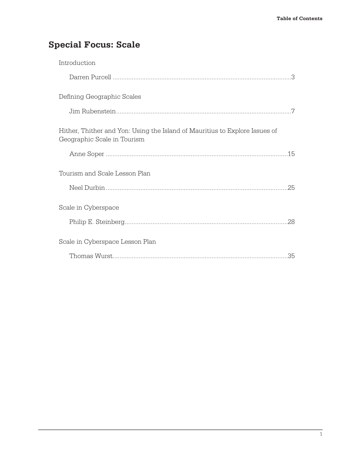# **Special Focus: Scale**

| Introduction                                                                                               |
|------------------------------------------------------------------------------------------------------------|
|                                                                                                            |
| Defining Geographic Scales                                                                                 |
|                                                                                                            |
| Hither, Thither and Yon: Using the Island of Mauritius to Explore Issues of<br>Geographic Scale in Tourism |
| .15                                                                                                        |
| Tourism and Scale Lesson Plan                                                                              |
| 25                                                                                                         |
| Scale in Cyberspace                                                                                        |
|                                                                                                            |
| Scale in Cyberspace Lesson Plan                                                                            |
| .35                                                                                                        |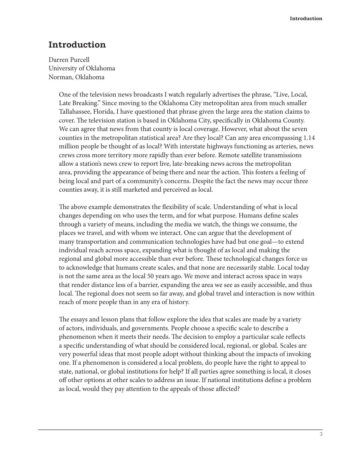# **Introduction**

Darren Purcell University of Oklahoma Norman, Oklahoma

> One of the television news broadcasts I watch regularly advertises the phrase, "Live, Local, Late Breaking." Since moving to the Oklahoma City metropolitan area from much smaller Tallahassee, Florida, I have questioned that phrase given the large area the station claims to cover. The television station is based in Oklahoma City, specifically in Oklahoma County. We can agree that news from that county is local coverage. However, what about the seven counties in the metropolitan statistical area? Are they local? Can any area encompassing 1.14 million people be thought of as local? With interstate highways functioning as arteries, news crews cross more territory more rapidly than ever before. Remote satellite transmissions allow a station's news crew to report live, late-breaking news across the metropolitan area, providing the appearance of being there and near the action. This fosters a feeling of being local and part of a community's concerns. Despite the fact the news may occur three counties away, it is still marketed and perceived as local.

> The above example demonstrates the flexibility of scale. Understanding of what is local changes depending on who uses the term, and for what purpose. Humans define scales through a variety of means, including the media we watch, the things we consume, the places we travel, and with whom we interact. One can argue that the development of many transportation and communication technologies have had but one goal—to extend individual reach across space, expanding what is thought of as local and making the regional and global more accessible than ever before. These technological changes force us to acknowledge that humans create scales, and that none are necessarily stable. Local today is not the same area as the local 50 years ago. We move and interact across space in ways that render distance less of a barrier, expanding the area we see as easily accessible, and thus local. The regional does not seem so far away, and global travel and interaction is now within reach of more people than in any era of history.

The essays and lesson plans that follow explore the idea that scales are made by a variety of actors, individuals, and governments. People choose a specifi c scale to describe a phenomenon when it meets their needs. The decision to employ a particular scale reflects a specific understanding of what should be considered local, regional, or global. Scales are very powerful ideas that most people adopt without thinking about the impacts of invoking one. If a phenomenon is considered a local problem, do people have the right to appeal to state, national, or global institutions for help? If all parties agree something is local, it closes off other options at other scales to address an issue. If national institutions define a problem as local, would they pay attention to the appeals of those affected?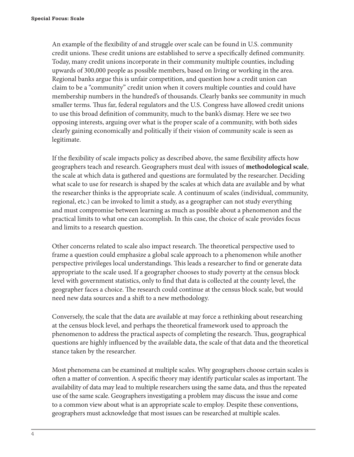An example of the flexibility of and struggle over scale can be found in U.S. community credit unions. These credit unions are established to serve a specifically defined community. Today, many credit unions incorporate in their community multiple counties, including upwards of 300,000 people as possible members, based on living or working in the area. Regional banks argue this is unfair competition, and question how a credit union can claim to be a "community" credit union when it covers multiple counties and could have membership numbers in the hundred's of thousands. Clearly banks see community in much smaller terms. Thus far, federal regulators and the U.S. Congress have allowed credit unions to use this broad definition of community, much to the bank's dismay. Here we see two opposing interests, arguing over what is the proper scale of a community, with both sides clearly gaining economically and politically if their vision of community scale is seen as legitimate.

If the flexibility of scale impacts policy as described above, the same flexibility affects how geographers teach and research. Geographers must deal with issues of **methodological scale**, the scale at which data is gathered and questions are formulated by the researcher. Deciding what scale to use for research is shaped by the scales at which data are available and by what the researcher thinks is the appropriate scale. A continuum of scales (individual, community, regional, etc.) can be invoked to limit a study, as a geographer can not study everything and must compromise between learning as much as possible about a phenomenon and the practical limits to what one can accomplish. In this case, the choice of scale provides focus and limits to a research question.

Other concerns related to scale also impact research. The theoretical perspective used to frame a question could emphasize a global scale approach to a phenomenon while another perspective privileges local understandings. This leads a researcher to find or generate data appropriate to the scale used. If a geographer chooses to study poverty at the census block level with government statistics, only to find that data is collected at the county level, the geographer faces a choice. The research could continue at the census block scale, but would need new data sources and a shift to a new methodology.

Conversely, the scale that the data are available at may force a rethinking about researching at the census block level, and perhaps the theoretical framework used to approach the phenomenon to address the practical aspects of completing the research. Thus, geographical questions are highly influenced by the available data, the scale of that data and the theoretical stance taken by the researcher.

Most phenomena can be examined at multiple scales. Why geographers choose certain scales is often a matter of convention. A specific theory may identify particular scales as important. The availability of data may lead to multiple researchers using the same data, and thus the repeated use of the same scale. Geographers investigating a problem may discuss the issue and come to a common view about what is an appropriate scale to employ. Despite these conventions, geographers must acknowledge that most issues can be researched at multiple scales.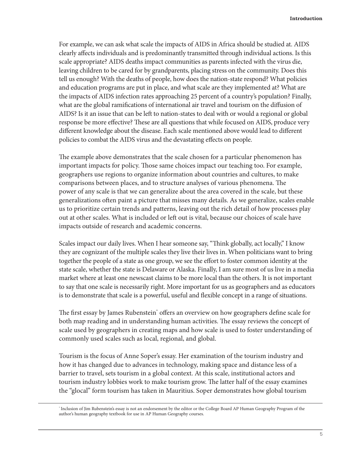For example, we can ask what scale the impacts of AIDS in Africa should be studied at. AIDS clearly affects individuals and is predominantly transmitted through individual actions. Is this scale appropriate? AIDS deaths impact communities as parents infected with the virus die, leaving children to be cared for by grandparents, placing stress on the community. Does this tell us enough? With the deaths of people, how does the nation-state respond? What policies and education programs are put in place, and what scale are they implemented at? What are the impacts of AIDS infection rates approaching 25 percent of a country's population? Finally, what are the global ramifications of international air travel and tourism on the diffusion of AIDS? Is it an issue that can be left to nation-states to deal with or would a regional or global response be more effective? These are all questions that while focused on AIDS, produce very different knowledge about the disease. Each scale mentioned above would lead to different policies to combat the AIDS virus and the devastating effects on people.

The example above demonstrates that the scale chosen for a particular phenomenon has important impacts for policy. Those same choices impact our teaching too. For example, geographers use regions to organize information about countries and cultures, to make comparisons between places, and to structure analyses of various phenomena. The power of any scale is that we can generalize about the area covered in the scale, but these generalizations often paint a picture that misses many details. As we generalize, scales enable us to prioritize certain trends and patterns, leaving out the rich detail of how processes play out at other scales. What is included or left out is vital, because our choices of scale have impacts outside of research and academic concerns.

Scales impact our daily lives. When I hear someone say, "Think globally, act locally," I know they are cognizant of the multiple scales they live their lives in. When politicians want to bring together the people of a state as one group, we see the effort to foster common identity at the state scale, whether the state is Delaware or Alaska. Finally, I am sure most of us live in a media market where at least one newscast claims to be more local than the others. It is not important to say that one scale is necessarily right. More important for us as geographers and as educators is to demonstrate that scale is a powerful, useful and flexible concept in a range of situations.

The first essay by James Rubenstein<sup>\*</sup> offers an overview on how geographers define scale for both map reading and in understanding human activities. The essay reviews the concept of scale used by geographers in creating maps and how scale is used to foster understanding of commonly used scales such as local, regional, and global.

Tourism is the focus of Anne Soper's essay. Her examination of the tourism industry and how it has changed due to advances in technology, making space and distance less of a barrier to travel, sets tourism in a global context. At this scale, institutional actors and tourism industry lobbies work to make tourism grow. The latter half of the essay examines the "glocal" form tourism has taken in Mauritius. Soper demonstrates how global tourism

<sup>\*</sup> Inclusion of Jim Rubenstein's essay is not an endorsement by the editor or the College Board AP Human Geography Program of the author's human geography textbook for use in AP Human Geography courses.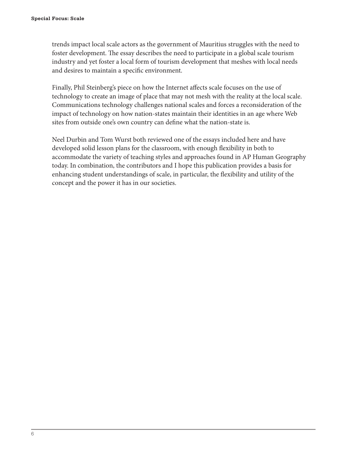trends impact local scale actors as the government of Mauritius struggles with the need to foster development. The essay describes the need to participate in a global scale tourism industry and yet foster a local form of tourism development that meshes with local needs and desires to maintain a specific environment.

Finally, Phil Steinberg's piece on how the Internet affects scale focuses on the use of technology to create an image of place that may not mesh with the reality at the local scale. Communications technology challenges national scales and forces a reconsideration of the impact of technology on how nation-states maintain their identities in an age where Web sites from outside one's own country can define what the nation-state is.

Neel Durbin and Tom Wurst both reviewed one of the essays included here and have developed solid lesson plans for the classroom, with enough flexibility in both to accommodate the variety of teaching styles and approaches found in AP Human Geography today. In combination, the contributors and I hope this publication provides a basis for enhancing student understandings of scale, in particular, the flexibility and utility of the concept and the power it has in our societies.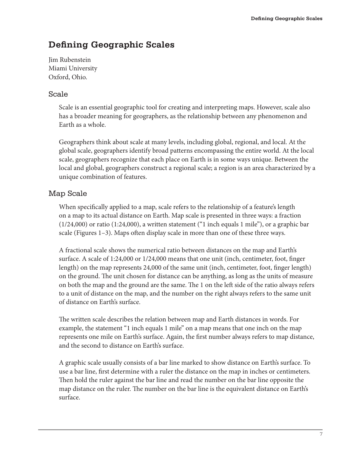# **Defining Geographic Scales**

Jim Rubenstein Miami University Oxford, Ohio.

#### Scale

Scale is an essential geographic tool for creating and interpreting maps. However, scale also has a broader meaning for geographers, as the relationship between any phenomenon and Earth as a whole.

Geographers think about scale at many levels, including global, regional, and local. At the global scale, geographers identify broad patterns encompassing the entire world. At the local scale, geographers recognize that each place on Earth is in some ways unique. Between the local and global, geographers construct a regional scale; a region is an area characterized by a unique combination of features.

# Map Scale

When specifically applied to a map, scale refers to the relationship of a feature's length on a map to its actual distance on Earth. Map scale is presented in three ways: a fraction  $(1/24,000)$  or ratio  $(1:24,000)$ , a written statement  $("1$  inch equals 1 mile"), or a graphic bar scale (Figures  $1-3$ ). Maps often display scale in more than one of these three ways.

A fractional scale shows the numerical ratio between distances on the map and Earth's surface. A scale of  $1:24,000$  or  $1/24,000$  means that one unit (inch, centimeter, foot, finger length) on the map represents 24,000 of the same unit (inch, centimeter, foot, finger length) on the ground. The unit chosen for distance can be anything, as long as the units of measure on both the map and the ground are the same. The 1 on the left side of the ratio always refers to a unit of distance on the map, and the number on the right always refers to the same unit of distance on Earth's surface.

The written scale describes the relation between map and Earth distances in words. For example, the statement "1 inch equals 1 mile" on a map means that one inch on the map represents one mile on Earth's surface. Again, the first number always refers to map distance, and the second to distance on Earth's surface.

A graphic scale usually consists of a bar line marked to show distance on Earth's surface. To use a bar line, first determine with a ruler the distance on the map in inches or centimeters. Then hold the ruler against the bar line and read the number on the bar line opposite the map distance on the ruler. The number on the bar line is the equivalent distance on Earth's surface.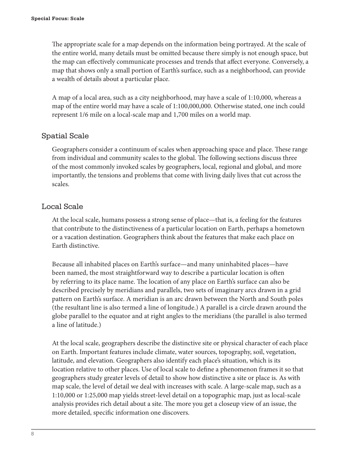The appropriate scale for a map depends on the information being portrayed. At the scale of the entire world, many details must be omitted because there simply is not enough space, but the map can effectively communicate processes and trends that affect everyone. Conversely, a map that shows only a small portion of Earth's surface, such as a neighborhood, can provide a wealth of details about a particular place.

A map of a local area, such as a city neighborhood, may have a scale of 1:10,000, whereas a map of the entire world may have a scale of 1:100,000,000. Otherwise stated, one inch could represent 1/6 mile on a local-scale map and 1,700 miles on a world map.

#### Spatial Scale

Geographers consider a continuum of scales when approaching space and place. These range from individual and community scales to the global. The following sections discuss three of the most commonly invoked scales by geographers, local, regional and global, and more importantly, the tensions and problems that come with living daily lives that cut across the scales.

#### Local Scale

At the local scale, humans possess a strong sense of place—that is, a feeling for the features that contribute to the distinctiveness of a particular location on Earth, perhaps a hometown or a vacation destination. Geographers think about the features that make each place on Earth distinctive.

Because all inhabited places on Earth's surface—and many uninhabited places—have been named, the most straightforward way to describe a particular location is often by referring to its place name. The location of any place on Earth's surface can also be described precisely by meridians and parallels, two sets of imaginary arcs drawn in a grid pattern on Earth's surface. A meridian is an arc drawn between the North and South poles (the resultant line is also termed a line of longitude.) A parallel is a circle drawn around the globe parallel to the equator and at right angles to the meridians (the parallel is also termed a line of latitude.)

At the local scale, geographers describe the distinctive site or physical character of each place on Earth. Important features include climate, water sources, topography, soil, vegetation, latitude, and elevation. Geographers also identify each place's situation, which is its location relative to other places. Use of local scale to define a phenomenon frames it so that geographers study greater levels of detail to show how distinctive a site or place is. As with map scale, the level of detail we deal with increases with scale. A large-scale map, such as a 1:10,000 or 1:25,000 map yields street-level detail on a topographic map, just as local-scale analysis provides rich detail about a site. The more you get a closeup view of an issue, the more detailed, specific information one discovers.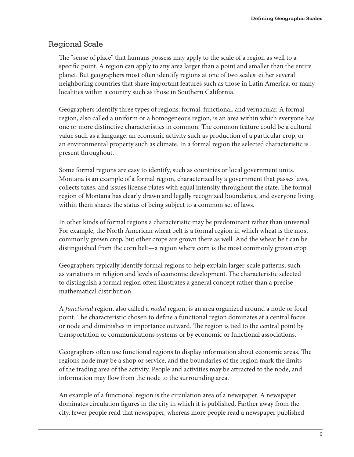## Regional Scale

The "sense of place" that humans possess may apply to the scale of a region as well to a specific point. A region can apply to any area larger than a point and smaller than the entire planet. But geographers most often identify regions at one of two scales: either several neighboring countries that share important features such as those in Latin America, or many localities within a country such as those in Southern California.

Geographers identify three types of regions: formal, functional, and vernacular. A formal region, also called a uniform or a homogeneous region, is an area within which everyone has one or more distinctive characteristics in common. The common feature could be a cultural value such as a language, an economic activity such as production of a particular crop, or an environmental property such as climate. In a formal region the selected characteristic is present throughout.

Some formal regions are easy to identify, such as countries or local government units. Montana is an example of a formal region, characterized by a government that passes laws, collects taxes, and issues license plates with equal intensity throughout the state. The formal region of Montana has clearly drawn and legally recognized boundaries, and everyone living within them shares the status of being subject to a common set of laws.

In other kinds of formal regions a characteristic may be predominant rather than universal. For example, the North American wheat belt is a formal region in which wheat is the most commonly grown crop, but other crops are grown there as well. And the wheat belt can be distinguished from the corn belt—a region where corn is the most commonly grown crop.

Geographers typically identify formal regions to help explain larger-scale patterns, such as variations in religion and levels of economic development. The characteristic selected to distinguish a formal region often illustrates a general concept rather than a precise mathematical distribution.

A *functional* region, also called a *nodal* region, is an area organized around a node or focal point. The characteristic chosen to define a functional region dominates at a central focus or node and diminishes in importance outward. The region is tied to the central point by transportation or communications systems or by economic or functional associations.

Geographers often use functional regions to display information about economic areas. The region's node may be a shop or service, and the boundaries of the region mark the limits of the trading area of the activity. People and activities may be attracted to the node, and information may flow from the node to the surrounding area.

An example of a functional region is the circulation area of a newspaper. A newspaper dominates circulation figures in the city in which it is published. Farther away from the city, fewer people read that newspaper, whereas more people read a newspaper published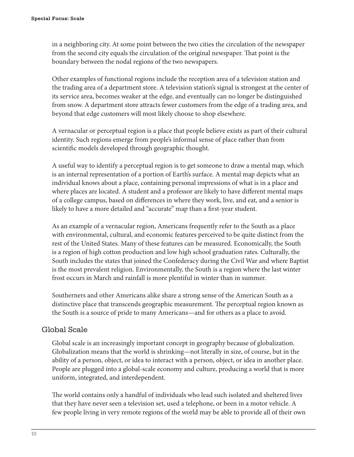in a neighboring city. At some point between the two cities the circulation of the newspaper from the second city equals the circulation of the original newspaper. That point is the boundary between the nodal regions of the two newspapers.

Other examples of functional regions include the reception area of a television station and the trading area of a department store. A television station's signal is strongest at the center of its service area, becomes weaker at the edge, and eventually can no longer be distinguished from snow. A department store attracts fewer customers from the edge of a trading area, and beyond that edge customers will most likely choose to shop elsewhere.

A vernacular or perceptual region is a place that people believe exists as part of their cultural identity. Such regions emerge from people's informal sense of place rather than from scientific models developed through geographic thought.

A useful way to identify a perceptual region is to get someone to draw a mental map, which is an internal representation of a portion of Earth's surface. A mental map depicts what an individual knows about a place, containing personal impressions of what is in a place and where places are located. A student and a professor are likely to have different mental maps of a college campus, based on differences in where they work, live, and eat, and a senior is likely to have a more detailed and "accurate" map than a first-year student.

As an example of a vernacular region, Americans frequently refer to the South as a place with environmental, cultural, and economic features perceived to be quite distinct from the rest of the United States. Many of these features can be measured. Economically, the South is a region of high cotton production and low high school graduation rates. Culturally, the South includes the states that joined the Confederacy during the Civil War and where Baptist is the most prevalent religion. Environmentally, the South is a region where the last winter frost occurs in March and rainfall is more plentiful in winter than in summer.

Southerners and other Americans alike share a strong sense of the American South as a distinctive place that transcends geographic measurement. The perceptual region known as the South is a source of pride to many Americans—and for others as a place to avoid.

#### Global Scale

Global scale is an increasingly important concept in geography because of globalization. Globalization means that the world is shrinking—not literally in size, of course, but in the ability of a person, object, or idea to interact with a person, object, or idea in another place. People are plugged into a global-scale economy and culture, producing a world that is more uniform, integrated, and interdependent.

The world contains only a handful of individuals who lead such isolated and sheltered lives that they have never seen a television set, used a telephone, or been in a motor vehicle. A few people living in very remote regions of the world may be able to provide all of their own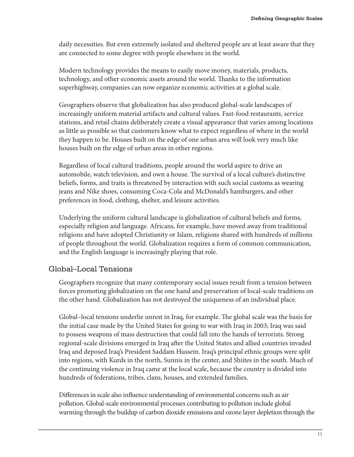daily necessities. But even extremely isolated and sheltered people are at least aware that they are connected to some degree with people elsewhere in the world.

Modern technology provides the means to easily move money, materials, products, technology, and other economic assets around the world. Thanks to the information superhighway, companies can now organize economic activities at a global scale.

Geographers observe that globalization has also produced global-scale landscapes of increasingly uniform material artifacts and cultural values. Fast-food restaurants, service stations, and retail chains deliberately create a visual appearance that varies among locations as little as possible so that customers know what to expect regardless of where in the world they happen to be. Houses built on the edge of one urban area will look very much like houses built on the edge of urban areas in other regions.

Regardless of local cultural traditions, people around the world aspire to drive an automobile, watch television, and own a house. The survival of a local culture's distinctive beliefs, forms, and traits is threatened by interaction with such social customs as wearing jeans and Nike shoes, consuming Coca-Cola and McDonald's hamburgers, and other preferences in food, clothing, shelter, and leisure activities.

Underlying the uniform cultural landscape is globalization of cultural beliefs and forms, especially religion and language. Africans, for example, have moved away from traditional religions and have adopted Christianity or Islam, religions shared with hundreds of millions of people throughout the world. Globalization requires a form of common communication, and the English language is increasingly playing that role.

#### Global–Local Tensions

Geographers recognize that many contemporary social issues result from a tension between forces promoting globalization on the one hand and preservation of local-scale traditions on the other hand. Globalization has not destroyed the uniqueness of an individual place.

Global–local tensions underlie unrest in Iraq, for example. The global scale was the basis for the initial case made by the United States for going to war with Iraq in 2003; Iraq was said to possess weapons of mass destruction that could fall into the hands of terrorists. Strong regional-scale divisions emerged in Iraq after the United States and allied countries invaded Iraq and deposed Iraq's President Saddam Hussein. Iraq's principal ethnic groups were split into regions, with Kurds in the north, Sunnis in the center, and Shiites in the south. Much of the continuing violence in Iraq came at the local scale, because the country is divided into hundreds of federations, tribes, clans, houses, and extended families.

Differences in scale also influence understanding of environmental concerns such as air pollution. Global-scale environmental processes contributing to pollution include global warming through the buildup of carbon dioxide emissions and ozone layer depletion through the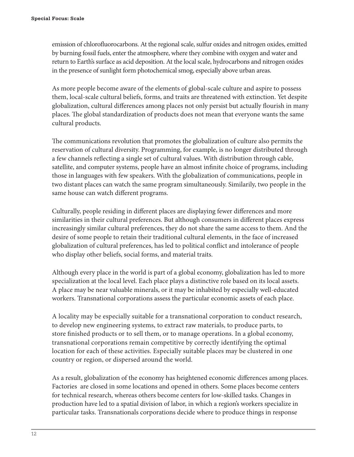emission of chlorofluorocarbons. At the regional scale, sulfur oxides and nitrogen oxides, emitted by burning fossil fuels, enter the atmosphere, where they combine with oxygen and water and return to Earth's surface as acid deposition. At the local scale, hydrocarbons and nitrogen oxides in the presence of sunlight form photochemical smog, especially above urban areas.

As more people become aware of the elements of global-scale culture and aspire to possess them, local-scale cultural beliefs, forms, and traits are threatened with extinction. Yet despite globalization, cultural differences among places not only persist but actually flourish in many places. The global standardization of products does not mean that everyone wants the same cultural products.

The communications revolution that promotes the globalization of culture also permits the reservation of cultural diversity. Programming, for example, is no longer distributed through a few channels reflecting a single set of cultural values. With distribution through cable, satellite, and computer systems, people have an almost infinite choice of programs, including those in languages with few speakers. With the globalization of communications, people in two distant places can watch the same program simultaneously. Similarily, two people in the same house can watch different programs.

Culturally, people residing in different places are displaying fewer differences and more similarities in their cultural preferences. But although consumers in different places express increasingly similar cultural preferences, they do not share the same access to them. And the desire of some people to retain their traditional cultural elements, in the face of increased globalization of cultural preferences, has led to political conflict and intolerance of people who display other beliefs, social forms, and material traits.

Although every place in the world is part of a global economy, globalization has led to more specialization at the local level. Each place plays a distinctive role based on its local assets. A place may be near valuable minerals, or it may be inhabited by especially well-educated workers. Transnational corporations assess the particular economic assets of each place.

A locality may be especially suitable for a transnational corporation to conduct research, to develop new engineering systems, to extract raw materials, to produce parts, to store finished products or to sell them, or to manage operations. In a global economy, transnational corporations remain competitive by correctly identifying the optimal location for each of these activities. Especially suitable places may be clustered in one country or region, or dispersed around the world.

As a result, globalization of the economy has heightened economic differences among places. Factories are closed in some locations and opened in others. Some places become centers for technical research, whereas others become centers for low-skilled tasks. Changes in production have led to a spatial division of labor, in which a region's workers specialize in particular tasks. Transnationals corporations decide where to produce things in response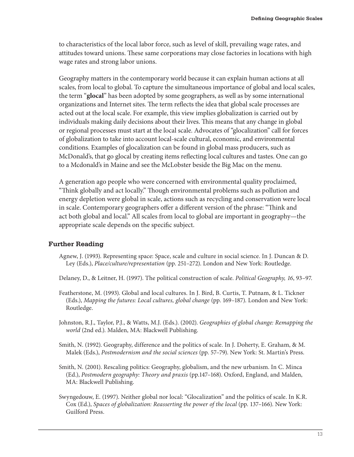to characteristics of the local labor force, such as level of skill, prevailing wage rates, and attitudes toward unions. These same corporations may close factories in locations with high wage rates and strong labor unions.

Geography matters in the contemporary world because it can explain human actions at all scales, from local to global. To capture the simultaneous importance of global and local scales, the term "**glocal**" has been adopted by some geographers, as well as by some international organizations and Internet sites. The term reflects the idea that global scale processes are acted out at the local scale. For example, this view implies globalization is carried out by individuals making daily decisions about their lives. This means that any change in global or regional processes must start at the local scale. Advocates of "glocalization" call for forces of globalization to take into account local-scale cultural, economic, and environmental conditions. Examples of glocalization can be found in global mass producers, such as McDonald's, that go glocal by creating items reflecting local cultures and tastes. One can go to a Mcdonald's in Maine and see the McLobster beside the Big Mac on the menu.

A generation ago people who were concerned with environmental quality proclaimed, "Think globally and act locally." Though environmental problems such as pollution and energy depletion were global in scale, actions such as recycling and conservation were local in scale. Contemporary geographers offer a different version of the phrase: "Think and act both global and local." All scales from local to global are important in geography—the appropriate scale depends on the specific subject.

#### **Further Reading**

- Agnew, J. (1993). Representing space: Space, scale and culture in social science. In J. Duncan & D. Ley (Eds.), *Place/culture/representation* (pp. 251–272). London and New York: Routledge.
- Delaney, D., & Leitner, H. (1997). The political construction of scale. *Political Geography, 16*, 93–97.
- Featherstone, M. (1993). Global and local cultures. In J. Bird, B. Curtis, T. Putnam, & L. Tickner (Eds.), *Mapping the futures: Local cultures, global change* (pp. 169–187). London and New York: Routledge.
- Johnston, R.J., Taylor, P.J., & Watts, M.J. (Eds.). (2002). *Geographies of global change: Remapping the world* (2nd ed.). Malden, MA: Blackwell Publishing.
- Smith, N. (1992). Geography, difference and the politics of scale. In J. Doherty, E. Graham, & M. Malek (Eds.), *Postmodernism and the social sciences* (pp. 57–79). New York: St. Martin's Press.
- Smith, N. (2001). Rescaling politics: Geography, globalism, and the new urbanism. In C. Minca (Ed.), *Postmodern geography: Theory and praxis* (pp.147–168). Oxford, England, and Malden, MA: Blackwell Publishing.
- Swyngedouw, E. (1997). Neither global nor local: "Glocalization" and the politics of scale. In K.R. Cox (Ed.), *Spaces of globalization: Reasserting the power of the local* (pp. 137–166). New York: Guilford Press.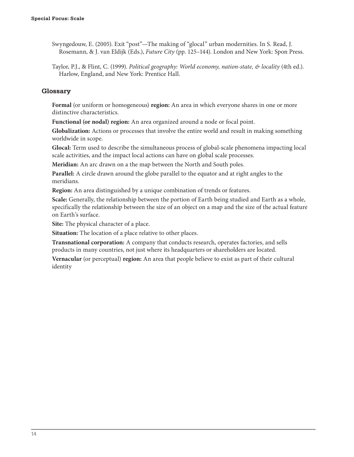Swyngedouw, E. (2005). Exit "post"—The making of "glocal" urban modernities. In S. Read, J. Rosemann, & J. van Eldijk (Eds.), *Future City* (pp. 125–144). London and New York: Spon Press.

Taylor, P.J., & Flint, C. (1999). *Political geography: World economy, nation-state, & locality* (4th ed.). Harlow, England, and New York: Prentice Hall.

#### **Glossary**

**Formal** (or uniform or homogeneous) **region:** An area in which everyone shares in one or more distinctive characteristics.

**Functional (or nodal) region:** An area organized around a node or focal point.

**Globalization:** Actions or processes that involve the entire world and result in making something worldwide in scope.

**Glocal:** Term used to describe the simultaneous process of global-scale phenomena impacting local scale activities, and the impact local actions can have on global scale processes.

**Meridian:** An arc drawn on a the map between the North and South poles.

**Parallel:** A circle drawn around the globe parallel to the equator and at right angles to the meridians.

**Region:** An area distinguished by a unique combination of trends or features.

**Scale:** Generally, the relationship between the portion of Earth being studied and Earth as a whole, specifically the relationship between the size of an object on a map and the size of the actual feature on Earth's surface.

**Site:** The physical character of a place.

**Situation:** The location of a place relative to other places.

**Transnational corporation:** A company that conducts research, operates factories, and sells products in many countries, not just where its headquarters or shareholders are located.

**Vernacular** (or perceptual) **region:** An area that people believe to exist as part of their cultural identity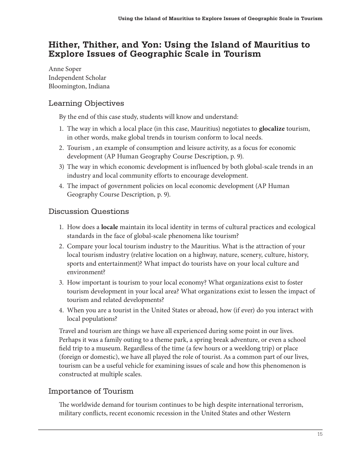# **Hither, Thither, and Yon: Using the Island of Mauritius to Explore Issues of Geographic Scale in Tourism**

Anne Soper Independent Scholar Bloomington, Indiana

## Learning Objectives

By the end of this case study, students will know and understand:

- 1. The way in which a local place (in this case, Mauritius) negotiates to **glocalize** tourism, in other words, make global trends in tourism conform to local needs.
- 2. Tourism , an example of consumption and leisure activity, as a focus for economic development (AP Human Geography Course Description, p. 9).
- 3) The way in which economic development is influenced by both global-scale trends in an industry and local community efforts to encourage development.
- 4. The impact of government policies on local economic development (AP Human Geography Course Description, p. 9).

#### Discussion Questions

- 1. How does a **locale** maintain its local identity in terms of cultural practices and ecological standards in the face of global-scale phenomena like tourism?
- 2. Compare your local tourism industry to the Mauritius. What is the attraction of your local tourism industry (relative location on a highway, nature, scenery, culture, history, sports and entertainment)? What impact do tourists have on your local culture and environment?
- 3. How important is tourism to your local economy? What organizations exist to foster tourism development in your local area? What organizations exist to lessen the impact of tourism and related developments?
- 4. When you are a tourist in the United States or abroad, how (if ever) do you interact with local populations?

Travel and tourism are things we have all experienced during some point in our lives. Perhaps it was a family outing to a theme park, a spring break adventure, or even a school field trip to a museum. Regardless of the time (a few hours or a weeklong trip) or place (foreign or domestic), we have all played the role of tourist. As a common part of our lives, tourism can be a useful vehicle for examining issues of scale and how this phenomenon is constructed at multiple scales.

# Importance of Tourism

The worldwide demand for tourism continues to be high despite international terrorism, military conflicts, recent economic recession in the United States and other Western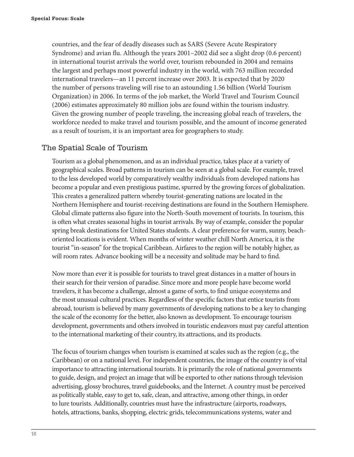countries, and the fear of deadly diseases such as SARS (Severe Acute Respiratory Syndrome) and avian flu. Although the years 2001–2002 did see a slight drop (0.6 percent) in international tourist arrivals the world over, tourism rebounded in 2004 and remains the largest and perhaps most powerful industry in the world, with 763 million recorded international travelers—an 11 percent increase over 2003. It is expected that by 2020 the number of persons traveling will rise to an astounding 1.56 billion (World Tourism Organization) in 2006. In terms of the job market, the World Travel and Tourism Council (2006) estimates approximately 80 million jobs are found within the tourism industry. Given the growing number of people traveling, the increasing global reach of travelers, the workforce needed to make travel and tourism possible, and the amount of income generated as a result of tourism, it is an important area for geographers to study.

#### The Spatial Scale of Tourism

Tourism as a global phenomenon, and as an individual practice, takes place at a variety of geographical scales. Broad patterns in tourism can be seen at a global scale. For example, travel to the less developed world by comparatively wealthy individuals from developed nations has become a popular and even prestigious pastime, spurred by the growing forces of globalization. This creates a generalized pattern whereby tourist-generating nations are located in the Northern Hemisphere and tourist-receiving destinations are found in the Southern Hemisphere. Global climate patterns also figure into the North-South movement of tourists. In tourism, this is often what creates seasonal highs in tourist arrivals. By way of example, consider the popular spring break destinations for United States students. A clear preference for warm, sunny, beachoriented locations is evident. When months of winter weather chill North America, it is the tourist "in-season" for the tropical Caribbean. Airfares to the region will be notably higher, as will room rates. Advance booking will be a necessity and solitude may be hard to find.

Now more than ever it is possible for tourists to travel great distances in a matter of hours in their search for their version of paradise. Since more and more people have become world travelers, it has become a challenge, almost a game of sorts, to find unique ecosystems and the most unusual cultural practices. Regardless of the specific factors that entice tourists from abroad, tourism is believed by many governments of developing nations to be a key to changing the scale of the economy for the better, also known as development. To encourage tourism development, governments and others involved in touristic endeavors must pay careful attention to the international marketing of their country, its attractions, and its products.

The focus of tourism changes when tourism is examined at scales such as the region (e.g., the Caribbean) or on a national level. For independent countries, the image of the country is of vital importance to attracting international tourists. It is primarily the role of national governments to guide, design, and project an image that will be exported to other nations through television advertising, glossy brochures, travel guidebooks, and the Internet. A country must be perceived as politically stable, easy to get to, safe, clean, and attractive, among other things, in order to lure tourists. Additionally, countries must have the infrastructure (airports, roadways, hotels, attractions, banks, shopping, electric grids, telecommunications systems, water and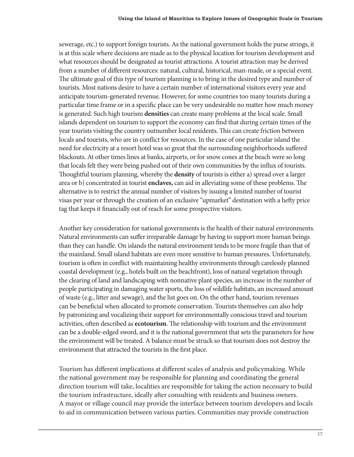sewerage, etc.) to support foreign tourists. As the national government holds the purse strings, it is at this scale where decisions are made as to the physical location for tourism development and what resources should be designated as tourist attractions. A tourist attraction may be derived from a number of different resources: natural, cultural, historical, man-made, or a special event. The ultimate goal of this type of tourism planning is to bring in the desired type and number of tourists. Most nations desire to have a certain number of international visitors every year and anticipate tourism-generated revenue. However, for some countries too many tourists during a particular time frame or in a specific place can be very undesirable no matter how much money is generated. Such high tourism **densities** can create many problems at the local scale. Small islands dependent on tourism to support the economy can find that during certain times of the year tourists visiting the country outnumber local residents. This can create friction between locals and tourists, who are in conflict for resources. In the case of one particular island the need for electricity at a resort hotel was so great that the surrounding neighborhoods suffered blackouts. At other times lines at banks, airports, or for snow cones at the beach were so long that locals felt they were being pushed out of their own communities by the influx of tourists. Thoughtful tourism planning, whereby the **density** of tourists is either a) spread over a larger area or b) concentrated in tourist **enclaves**, can aid in alleviating some of these problems. The alternative is to restrict the annual number of visitors by issuing a limited number of tourist visas per year or through the creation of an exclusive "upmarket" destination with a hefty price tag that keeps it financially out of reach for some prospective visitors.

Another key consideration for national governments is the health of their natural environments. Natural environments can suffer irreparable damage by having to support more human beings than they can handle. On islands the natural environment tends to be more fragile than that of the mainland. Small island habitats are even more sensitive to human pressures. Unfortunately, tourism is often in conflict with maintaining healthy environments through carelessly planned coastal development (e.g., hotels built on the beachfront), loss of natural vegetation through the clearing of land and landscaping with nonnative plant species, an increase in the number of people participating in damaging water sports, the loss of wildlife habitats, an increased amount of waste (e.g., litter and sewage), and the list goes on. On the other hand, tourism revenues can be beneficial when allocated to promote conservation. Tourists themselves can also help by patronizing and vocalizing their support for environmentally conscious travel and tourism activities, often described as **ecotourism**. The relationship with tourism and the environment can be a double-edged sword, and it is the national government that sets the parameters for how the environment will be treated. A balance must be struck so that tourism does not destroy the environment that attracted the tourists in the first place.

Tourism has different implications at different scales of analysis and policymaking. While the national government may be responsible for planning and coordinating the general direction tourism will take, localities are responsible for taking the action necessary to build the tourism infrastructure, ideally after consulting with residents and business owners. A mayor or village council may provide the interface between tourism developers and locals to aid in communication between various parties. Communities may provide construction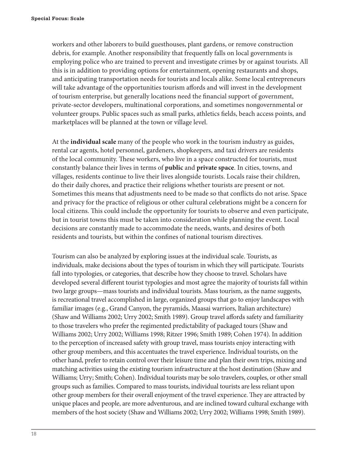workers and other laborers to build guesthouses, plant gardens, or remove construction debris, for example. Another responsibility that frequently falls on local governments is employing police who are trained to prevent and investigate crimes by or against tourists. All this is in addition to providing options for entertainment, opening restaurants and shops, and anticipating transportation needs for tourists and locals alike. Some local entrepreneurs will take advantage of the opportunities tourism affords and will invest in the development of tourism enterprise, but generally locations need the financial support of government, private-sector developers, multinational corporations, and sometimes nongovernmental or volunteer groups. Public spaces such as small parks, athletics fields, beach access points, and marketplaces will be planned at the town or village level.

At the **individual scale** many of the people who work in the tourism industry as guides, rental car agents, hotel personnel, gardeners, shopkeepers, and taxi drivers are residents of the local community. These workers, who live in a space constructed for tourists, must constantly balance their lives in terms of **public** and **private space**. In cities, towns, and villages, residents continue to live their lives alongside tourists. Locals raise their children, do their daily chores, and practice their religions whether tourists are present or not. Sometimes this means that adjustments need to be made so that conflicts do not arise. Space and privacy for the practice of religious or other cultural celebrations might be a concern for local citizens. This could include the opportunity for tourists to observe and even participate, but in tourist towns this must be taken into consideration while planning the event. Local decisions are constantly made to accommodate the needs, wants, and desires of both residents and tourists, but within the confines of national tourism directives.

Tourism can also be analyzed by exploring issues at the individual scale. Tourists, as individuals, make decisions about the types of tourism in which they will participate. Tourists fall into typologies, or categories, that describe how they choose to travel. Scholars have developed several different tourist typologies and most agree the majority of tourists fall within two large groups—mass tourists and individual tourists. Mass tourism, as the name suggests, is recreational travel accomplished in large, organized groups that go to enjoy landscapes with familiar images (e.g., Grand Canyon, the pyramids, Maasai warriors, Italian architecture) (Shaw and Williams 2002; Urry 2002; Smith 1989). Group travel affords safety and familiarity to those travelers who prefer the regimented predictability of packaged tours (Shaw and Williams 2002; Urry 2002; Williams 1998; Ritzer 1996; Smith 1989; Cohen 1974). In addition to the perception of increased safety with group travel, mass tourists enjoy interacting with other group members, and this accentuates the travel experience. Individual tourists, on the other hand, prefer to retain control over their leisure time and plan their own trips, mixing and matching activities using the existing tourism infrastructure at the host destination (Shaw and Williams; Urry; Smith; Cohen). Individual tourists may be solo travelers, couples, or other small groups such as families. Compared to mass tourists, individual tourists are less reliant upon other group members for their overall enjoyment of the travel experience. They are attracted by unique places and people, are more adventurous, and are inclined toward cultural exchange with members of the host society (Shaw and Williams 2002; Urry 2002; Williams 1998; Smith 1989).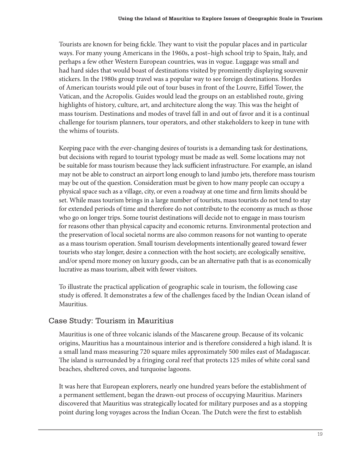Tourists are known for being fickle. They want to visit the popular places and in particular ways. For many young Americans in the 1960s, a post–high school trip to Spain, Italy, and perhaps a few other Western European countries, was in vogue. Luggage was small and had hard sides that would boast of destinations visited by prominently displaying souvenir stickers. In the 1980s group travel was a popular way to see foreign destinations. Hordes of American tourists would pile out of tour buses in front of the Louvre, Eiffel Tower, the Vatican, and the Acropolis. Guides would lead the groups on an established route, giving highlights of history, culture, art, and architecture along the way. This was the height of mass tourism. Destinations and modes of travel fall in and out of favor and it is a continual challenge for tourism planners, tour operators, and other stakeholders to keep in tune with the whims of tourists.

Keeping pace with the ever-changing desires of tourists is a demanding task for destinations, but decisions with regard to tourist typology must be made as well. Some locations may not be suitable for mass tourism because they lack sufficient infrastructure. For example, an island may not be able to construct an airport long enough to land jumbo jets, therefore mass tourism may be out of the question. Consideration must be given to how many people can occupy a physical space such as a village, city, or even a roadway at one time and firm limits should be set. While mass tourism brings in a large number of tourists, mass tourists do not tend to stay for extended periods of time and therefore do not contribute to the economy as much as those who go on longer trips. Some tourist destinations will decide not to engage in mass tourism for reasons other than physical capacity and economic returns. Environmental protection and the preservation of local societal norms are also common reasons for not wanting to operate as a mass tourism operation. Small tourism developments intentionally geared toward fewer tourists who stay longer, desire a connection with the host society, are ecologically sensitive, and/or spend more money on luxury goods, can be an alternative path that is as economically lucrative as mass tourism, albeit with fewer visitors.

To illustrate the practical application of geographic scale in tourism, the following case study is offered. It demonstrates a few of the challenges faced by the Indian Ocean island of Mauritius.

#### Case Study: Tourism in Mauritius

Mauritius is one of three volcanic islands of the Mascarene group. Because of its volcanic origins, Mauritius has a mountainous interior and is therefore considered a high island. It is a small land mass measuring 720 square miles approximately 500 miles east of Madagascar. The island is surrounded by a fringing coral reef that protects 125 miles of white coral sand beaches, sheltered coves, and turquoise lagoons.

It was here that European explorers, nearly one hundred years before the establishment of a permanent settlement, began the drawn-out process of occupying Mauritius. Mariners discovered that Mauritius was strategically located for military purposes and as a stopping point during long voyages across the Indian Ocean. The Dutch were the first to establish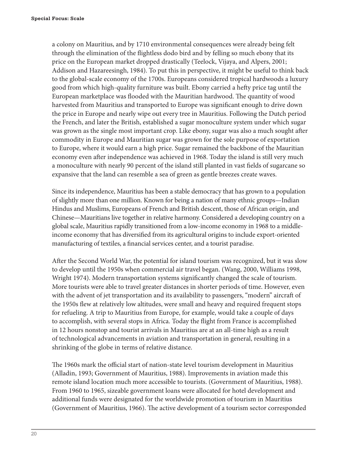a colony on Mauritius, and by 1710 environmental consequences were already being felt through the elimination of the flightless dodo bird and by felling so much ebony that its price on the European market dropped drastically (Teelock, Vijaya, and Alpers, 2001; Addison and Hazareesingh, 1984). To put this in perspective, it might be useful to think back to the global-scale economy of the 1700s. Europeans considered tropical hardwoods a luxury good from which high-quality furniture was built. Ebony carried a hefty price tag until the European marketplace was flooded with the Mauritian hardwood. The quantity of wood harvested from Mauritius and transported to Europe was significant enough to drive down the price in Europe and nearly wipe out every tree in Mauritius. Following the Dutch period the French, and later the British, established a sugar monoculture system under which sugar was grown as the single most important crop. Like ebony, sugar was also a much sought after commodity in Europe and Mauritian sugar was grown for the sole purpose of exportation to Europe, where it would earn a high price. Sugar remained the backbone of the Mauritian economy even after independence was achieved in 1968. Today the island is still very much a monoculture with nearly 90 percent of the island still planted in vast fields of sugarcane so expansive that the land can resemble a sea of green as gentle breezes create waves.

Since its independence, Mauritius has been a stable democracy that has grown to a population of slightly more than one million. Known for being a nation of many ethnic groups—Indian Hindus and Muslims, Europeans of French and British descent, those of African origin, and Chinese—Mauritians live together in relative harmony. Considered a developing country on a global scale, Mauritius rapidly transitioned from a low-income economy in 1968 to a middleincome economy that has diversified from its agricultural origins to include export-oriented manufacturing of textiles, a financial services center, and a tourist paradise.

After the Second World War, the potential for island tourism was recognized, but it was slow to develop until the 1950s when commercial air travel began. (Wang, 2000, Williams 1998, Wright 1974). Modern transportation systems significantly changed the scale of tourism. More tourists were able to travel greater distances in shorter periods of time. However, even with the advent of jet transportation and its availability to passengers, "modern" aircraft of the 1950s flew at relatively low altitudes, were small and heavy and required frequent stops for refueling. A trip to Mauritius from Europe, for example, would take a couple of days to accomplish, with several stops in Africa. Today the flight from France is accomplished in 12 hours nonstop and tourist arrivals in Mauritius are at an all-time high as a result of technological advancements in aviation and transportation in general, resulting in a shrinking of the globe in terms of relative distance.

The 1960s mark the official start of nation-state level tourism development in Mauritius (Alladin, 1993; Government of Mauritius, 1988). Improvements in aviation made this remote island location much more accessible to tourists. (Government of Mauritius, 1988). From 1960 to 1965, sizeable government loans were allocated for hotel development and additional funds were designated for the worldwide promotion of tourism in Mauritius (Government of Mauritius, 1966). The active development of a tourism sector corresponded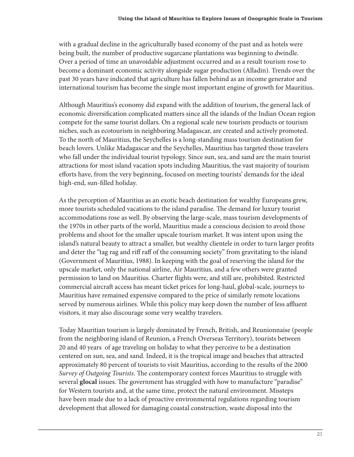with a gradual decline in the agriculturally based economy of the past and as hotels were being built, the number of productive sugarcane plantations was beginning to dwindle. Over a period of time an unavoidable adjustment occurred and as a result tourism rose to become a dominant economic activity alongside sugar production (Alladin). Trends over the past 30 years have indicated that agriculture has fallen behind as an income generator and international tourism has become the single most important engine of growth for Mauritius.

Although Mauritius's economy did expand with the addition of tourism, the general lack of economic diversification complicated matters since all the islands of the Indian Ocean region compete for the same tourist dollars. On a regional scale new tourism products or tourism niches, such as ecotourism in neighboring Madagascar, are created and actively promoted. To the north of Mauritius, the Seychelles is a long-standing mass tourism destination for beach lovers. Unlike Madagascar and the Seychelles, Mauritius has targeted those travelers who fall under the individual tourist typology. Since sun, sea, and sand are the main tourist attractions for most island vacation spots including Mauritius, the vast majority of tourism efforts have, from the very beginning, focused on meeting tourists' demands for the ideal high-end, sun-filled holiday.

As the perception of Mauritius as an exotic beach destination for wealthy Europeans grew, more tourists scheduled vacations to the island paradise. The demand for luxury tourist accommodations rose as well. By observing the large-scale, mass tourism developments of the 1970s in other parts of the world, Mauritius made a conscious decision to avoid those problems and shoot for the smaller upscale tourism market. It was intent upon using the island's natural beauty to attract a smaller, but wealthy clientele in order to turn larger profits and deter the "tag rag and riff raff of the consuming society" from gravitating to the island (Government of Mauritius, 1988). In keeping with the goal of reserving the island for the upscale market, only the national airline, Air Mauritius, and a few others were granted permission to land on Mauritius. Charter flights were, and still are, prohibited. Restricted commercial aircraft access has meant ticket prices for long-haul, global-scale, journeys to Mauritius have remained expensive compared to the price of similarly remote locations served by numerous airlines. While this policy may keep down the number of less affluent visitors, it may also discourage some very wealthy travelers.

Today Mauritian tourism is largely dominated by French, British, and Reunionnaise (people from the neighboring island of Reunion, a French Overseas Territory), tourists between 20 and 40 years of age traveling on holiday to what they perceive to be a destination centered on sun, sea, and sand. Indeed, it is the tropical image and beaches that attracted approximately 80 percent of tourists to visit Mauritius, according to the results of the 2000 *Survey of Outgoing Tourists*. The contemporary context forces Mauritius to struggle with several **glocal** issues. The government has struggled with how to manufacture "paradise" for Western tourists and, at the same time, protect the natural environment. Missteps have been made due to a lack of proactive environmental regulations regarding tourism development that allowed for damaging coastal construction, waste disposal into the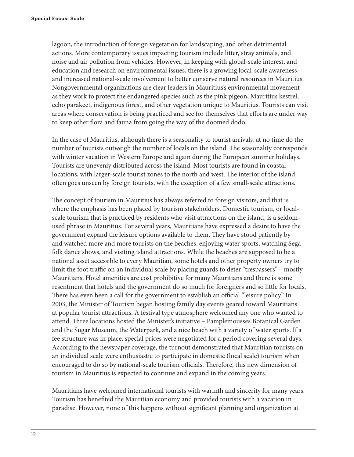lagoon, the introduction of foreign vegetation for landscaping, and other detrimental actions. More contemporary issues impacting tourism include litter, stray animals, and noise and air pollution from vehicles. However, in keeping with global-scale interest, and education and research on environmental issues, there is a growing local-scale awareness and increased national-scale involvement to better conserve natural resources in Mauritius. Nongovernmental organizations are clear leaders in Mauritius's environmental movement as they work to protect the endangered species such as the pink pigeon, Mauritius kestrel, echo parakeet, indigenous forest, and other vegetation unique to Mauritius. Tourists can visit areas where conservation is being practiced and see for themselves that efforts are under way to keep other flora and fauna from going the way of the doomed dodo.

In the case of Mauritius, although there is a seasonality to tourist arrivals, at no time do the number of tourists outweigh the number of locals on the island. The seasonality corresponds with winter vacation in Western Europe and again during the European summer holidays. Tourists are unevenly distributed across the island. Most tourists are found in coastal locations, with larger-scale tourist zones to the north and west. The interior of the island often goes unseen by foreign tourists, with the exception of a few small-scale attractions.

The concept of tourism in Mauritius has always referred to foreign visitors, and that is where the emphasis has been placed by tourism stakeholders. Domestic tourism, or localscale tourism that is practiced by residents who visit attractions on the island, is a seldomused phrase in Mauritius. For several years, Mauritians have expressed a desire to have the government expand the leisure options available to them. They have stood patiently by and watched more and more tourists on the beaches, enjoying water sports, watching Sega folk dance shows, and visiting island attractions. While the beaches are supposed to be a national asset accessible to every Mauritian, some hotels and other property owners try to limit the foot traffic on an individual scale by placing guards to deter "trespassers"—mostly Mauritians. Hotel amenities are cost prohibitive for many Mauritians and there is some resentment that hotels and the government do so much for foreigners and so little for locals. There has even been a call for the government to establish an official "leisure policy." In 2003, the Minister of Tourism began hosting family day events geared toward Mauritians at popular tourist attractions. A festival type atmosphere welcomed any one who wanted to attend. Three locations hosted the Minister's initiative - Pamplemousses Botanical Garden and the Sugar Museum, the Waterpark, and a nice beach with a variety of water sports. If a fee structure was in place, special prices were negotiated for a period covering several days. According to the newspaper coverage, the turnout demonstrated that Mauritian tourists on an individual scale were enthusiastic to participate in domestic (local scale) tourism when encouraged to do so by national-scale tourism officials. Therefore, this new dimension of tourism in Mauritius is expected to continue and expand in the coming years.

Mauritians have welcomed international tourists with warmth and sincerity for many years. Tourism has benefited the Mauritian economy and provided tourists with a vacation in paradise. However, none of this happens without significant planning and organization at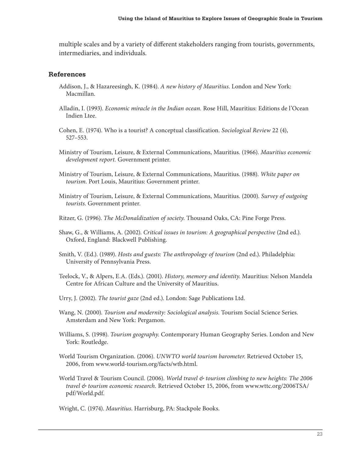multiple scales and by a variety of different stakeholders ranging from tourists, governments, intermediaries, and individuals.

#### **References**

- Addison, J., & Hazareesingh, K. (1984). *A new history of Mauritius*. London and New York: Macmillan.
- Alladin, I. (1993). *Economic miracle in the Indian ocean.* Rose Hill, Mauritius: Editions de l'Ocean Indien Ltee.
- Cohen, E. (1974). Who is a tourist? A conceptual classification. *Sociological Review* 22 (4), 527–553.
- Ministry of Tourism, Leisure, & External Communications, Mauritius. (1966). *Mauritius economic development report.* Government printer.
- Ministry of Tourism, Leisure, & External Communications, Mauritius. (1988). *White paper on tourism*. Port Louis, Mauritius: Government printer.
- Ministry of Tourism, Leisure, & External Communications, Mauritius. (2000). *Survey of outgoing tourists*. Government printer.
- Ritzer, G. (1996). *The McDonaldization of society*. Thousand Oaks, CA: Pine Forge Press.
- Shaw, G., & Williams, A. (2002). *Critical issues in tourism: A geographical perspective* (2nd ed.). Oxford, England: Blackwell Publishing.
- Smith, V. (Ed.). (1989). *Hosts and guests: The anthropology of tourism* (2nd ed.). Philadelphia: University of Pennsylvania Press.
- Teelock, V., & Alpers, E.A. (Eds.). (2001). *History, memory and identity*. Mauritius: Nelson Mandela Centre for African Culture and the University of Mauritius.
- Urry, J. (2002). *The tourist gaze* (2nd ed.). London: Sage Publications Ltd.
- Wang, N. (2000). *Tourism and modernity: Sociological analysis*. Tourism Social Science Series. Amsterdam and New York: Pergamon.
- Williams, S. (1998). *Tourism geography*. Contemporary Human Geography Series. London and New York: Routledge.
- World Tourism Organization. (2006). *UNWTO world tourism barometer*. Retrieved October 15, 2006, from www.world-tourism.org/facts/wtb.html.
- World Travel & Tourism Council. (2006). *World travel & tourism climbing to new heights: The 2006 travel & tourism economic research.* Retrieved October 15, 2006, from www.wttc.org/2006TSA/ pdf/World.pdf.

Wright, C. (1974). *Mauritius*. Harrisburg, PA: Stackpole Books.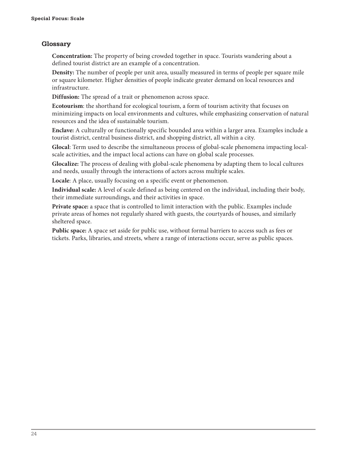#### **Glossary**

**Concentration:** The property of being crowded together in space. Tourists wandering about a defined tourist district are an example of a concentration.

**Density:** The number of people per unit area, usually measured in terms of people per square mile or square kilometer. Higher densities of people indicate greater demand on local resources and infrastructure.

**Diffusion:** The spread of a trait or phenomenon across space.

**Ecotourism**: the shorthand for ecological tourism, a form of tourism activity that focuses on minimizing impacts on local environments and cultures, while emphasizing conservation of natural resources and the idea of sustainable tourism.

**Enclave:** A culturally or functionally specific bounded area within a larger area. Examples include a tourist district, central business district, and shopping district, all within a city.

**Glocal**: Term used to describe the simultaneous process of global-scale phenomena impacting localscale activities, and the impact local actions can have on global scale processes.

**Glocalize:** The process of dealing with global-scale phenomena by adapting them to local cultures and needs, usually through the interactions of actors across multiple scales.

**Locale**: A place, usually focusing on a specific event or phenomenon.

**Individual scale:** A level of scale defined as being centered on the individual, including their body, their immediate surroundings, and their activities in space.

**Private space:** a space that is controlled to limit interaction with the public. Examples include private areas of homes not regularly shared with guests, the courtyards of houses, and similarly sheltered space.

**Public space:** A space set aside for public use, without formal barriers to access such as fees or tickets. Parks, libraries, and streets, where a range of interactions occur, serve as public spaces.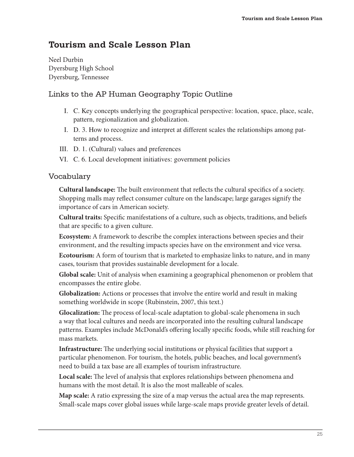# **Tourism and Scale Lesson Plan**

Neel Durbin Dyersburg High School Dyersburg, Tennessee

# Links to the AP Human Geography Topic Outline

- I. C. Key concepts underlying the geographical perspective: location, space, place, scale, pattern, regionalization and globalization.
- I. D. 3. How to recognize and interpret at different scales the relationships among patterns and process.
- III. D. 1. (Cultural) values and preferences
- VI. C. 6. Local development initiatives: government policies

## Vocabulary

**Cultural landscape:** The built environment that reflects the cultural specifics of a society. Shopping malls may reflect consumer culture on the landscape; large garages signify the importance of cars in American society.

**Cultural traits:** Specific manifestations of a culture, such as objects, traditions, and beliefs that are specific to a given culture.

**Ecosystem:** A framework to describe the complex interactions between species and their environment, and the resulting impacts species have on the environment and vice versa.

**Ecotourism:** A form of tourism that is marketed to emphasize links to nature, and in many cases, tourism that provides sustainable development for a locale.

**Global scale:** Unit of analysis when examining a geographical phenomenon or problem that encompasses the entire globe.

**Globalization:** Actions or processes that involve the entire world and result in making something worldwide in scope (Rubinstein, 2007, this text.)

**Glocalization:** The process of local-scale adaptation to global-scale phenomena in such a way that local cultures and needs are incorporated into the resulting cultural landscape patterns. Examples include McDonald's offering locally specific foods, while still reaching for mass markets.

**Infrastructure:** The underlying social institutions or physical facilities that support a particular phenomenon. For tourism, the hotels, public beaches, and local government's need to build a tax base are all examples of tourism infrastructure.

**Local scale:** The level of analysis that explores relationships between phenomena and humans with the most detail. It is also the most malleable of scales.

**Map scale:** A ratio expressing the size of a map versus the actual area the map represents. Small-scale maps cover global issues while large-scale maps provide greater levels of detail.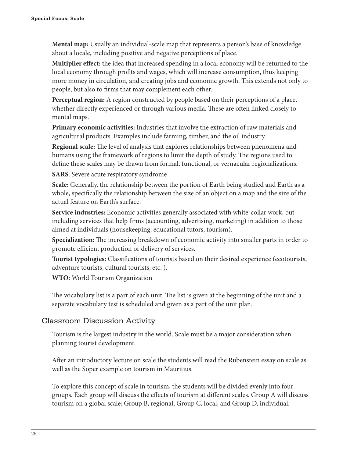**Mental map:** Usually an individual-scale map that represents a person's base of knowledge about a locale, including positive and negative perceptions of place.

**Multiplier effect:** the idea that increased spending in a local economy will be returned to the local economy through profits and wages, which will increase consumption, thus keeping more money in circulation, and creating jobs and economic growth. This extends not only to people, but also to firms that may complement each other.

**Perceptual region:** A region constructed by people based on their perceptions of a place, whether directly experienced or through various media. These are often linked closely to mental maps.

**Primary economic activities:** Industries that involve the extraction of raw materials and agricultural products. Examples include farming, timber, and the oil industry.

**Regional scale:** The level of analysis that explores relationships between phenomena and humans using the framework of regions to limit the depth of study. The regions used to define these scales may be drawn from formal, functional, or vernacular regionalizations.

**SARS**: Severe acute respiratory syndrome

**Scale:** Generally, the relationship between the portion of Earth being studied and Earth as a whole, specifically the relationship between the size of an object on a map and the size of the actual feature on Earth's surface.

**Service industries:** Economic activities generally associated with white-collar work, but including services that help firms (accounting, advertising, marketing) in addition to those aimed at individuals (housekeeping, educational tutors, tourism).

**Specialization:** The increasing breakdown of economic activity into smaller parts in order to promote efficient production or delivery of services.

**Tourist typologies:** Classifications of tourists based on their desired experience (ecotourists, adventure tourists, cultural tourists, etc. ).

**WTO**: World Tourism Organization

The vocabulary list is a part of each unit. The list is given at the beginning of the unit and a separate vocabulary test is scheduled and given as a part of the unit plan.

# Classroom Discussion Activity

Tourism is the largest industry in the world. Scale must be a major consideration when planning tourist development.

After an introductory lecture on scale the students will read the Rubenstein essay on scale as well as the Soper example on tourism in Mauritius.

To explore this concept of scale in tourism, the students will be divided evenly into four groups. Each group will discuss the effects of tourism at different scales. Group A will discuss tourism on a global scale; Group B, regional; Group C, local; and Group D, individual.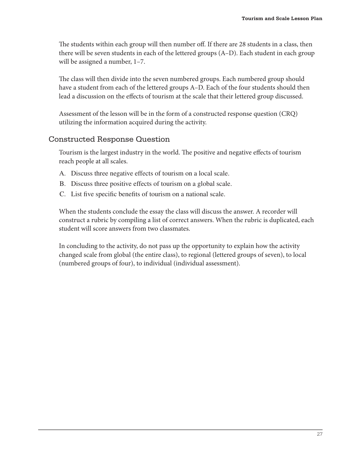The students within each group will then number off. If there are 28 students in a class, then there will be seven students in each of the lettered groups (A–D). Each student in each group will be assigned a number, 1–7.

The class will then divide into the seven numbered groups. Each numbered group should have a student from each of the lettered groups A–D. Each of the four students should then lead a discussion on the effects of tourism at the scale that their lettered group discussed.

Assessment of the lesson will be in the form of a constructed response question (CRQ) utilizing the information acquired during the activity.

#### Constructed Response Question

Tourism is the largest industry in the world. The positive and negative effects of tourism reach people at all scales.

- A. Discuss three negative effects of tourism on a local scale.
- B. Discuss three positive effects of tourism on a global scale.
- C. List five specific benefits of tourism on a national scale.

When the students conclude the essay the class will discuss the answer. A recorder will construct a rubric by compiling a list of correct answers. When the rubric is duplicated, each student will score answers from two classmates.

In concluding to the activity, do not pass up the opportunity to explain how the activity changed scale from global (the entire class), to regional (lettered groups of seven), to local (numbered groups of four), to individual (individual assessment).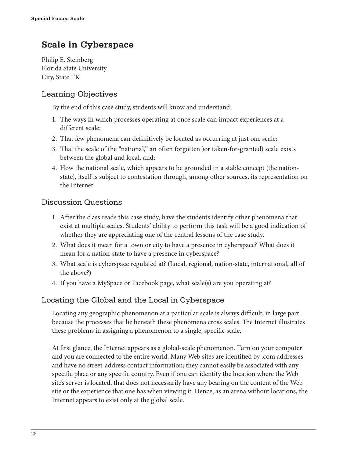# **Scale in Cyberspace**

Philip E. Steinberg Florida State University City, State TK

## Learning Objectives

By the end of this case study, students will know and understand:

- 1. The ways in which processes operating at once scale can impact experiences at a different scale;
- 2. That few phenomena can definitively be located as occurring at just one scale;
- 3. That the scale of the "national," an often forgotten )or taken-for-granted) scale exists between the global and local, and;
- 4. How the national scale, which appears to be grounded in a stable concept (the nationstate), itself is subject to contestation through, among other sources, its representation on the Internet.

## Discussion Questions

- 1. After the class reads this case study, have the students identify other phenomena that exist at multiple scales. Students' ability to perform this task will be a good indication of whether they are appreciating one of the central lessons of the case study.
- 2. What does it mean for a town or city to have a presence in cyberspace? What does it mean for a nation-state to have a presence in cyberspace?
- 3. What scale is cyberspace regulated at? (Local, regional, nation-state, international, all of the above?)
- 4. If you have a MySpace or Facebook page, what scale(s) are you operating at?

# Locating the Global and the Local in Cyberspace

Locating any geographic phenomenon at a particular scale is always difficult, in large part because the processes that lie beneath these phenomena cross scales. The Internet illustrates these problems in assigning a phenomenon to a single, specific scale.

At first glance, the Internet appears as a global-scale phenomenon. Turn on your computer and you are connected to the entire world. Many Web sites are identified by .com addresses and have no street-address contact information; they cannot easily be associated with any specific place or any specific country. Even if one can identify the location where the Web site's server is located, that does not necessarily have any bearing on the content of the Web site or the experience that one has when viewing it. Hence, as an arena without locations, the Internet appears to exist only at the global scale.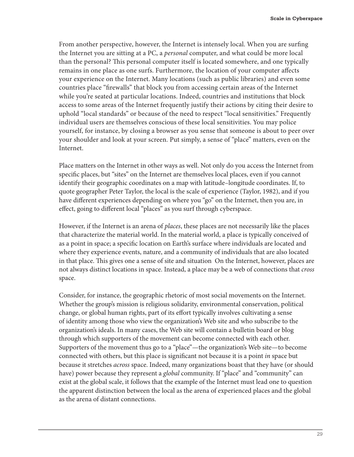From another perspective, however, the Internet is intensely local. When you are surfing the Internet you are sitting at a PC, a *personal* computer, and what could be more local than the personal? This personal computer itself is located somewhere, and one typically remains in one place as one surfs. Furthermore, the location of your computer affects your experience on the Internet. Many locations (such as public libraries) and even some countries place "firewalls" that block you from accessing certain areas of the Internet while you're seated at particular locations. Indeed, countries and institutions that block access to some areas of the Internet frequently justify their actions by citing their desire to uphold "local standards" or because of the need to respect "local sensitivities." Frequently individual users are themselves conscious of these local sensitivities. You may police yourself, for instance, by closing a browser as you sense that someone is about to peer over your shoulder and look at your screen. Put simply, a sense of "place" matters, even on the Internet.

Place matters on the Internet in other ways as well. Not only do you access the Internet from specific places, but "sites" on the Internet are themselves local places, even if you cannot identify their geographic coordinates on a map with latitude–longitude coordinates. If, to quote geographer Peter Taylor, the local is the scale of experience (Taylor, 1982), and if you have different experiences depending on where you "go" on the Internet, then you are, in effect, going to different local "places" as you surf through cyberspace.

However, if the Internet is an arena of *places*, these places are not necessarily like the places that characterize the material world. In the material world, a place is typically conceived of as a point in space; a specific location on Earth's surface where individuals are located and where they experience events, nature, and a community of individuals that are also located in that place. This gives one a sense of site and situation On the Internet, however, places are not always distinct locations in space. Instead, a place may be a web of connections that *cross* space.

Consider, for instance, the geographic rhetoric of most social movements on the Internet. Whether the group's mission is religious solidarity, environmental conservation, political change, or global human rights, part of its effort typically involves cultivating a sense of identity among those who view the organization's Web site and who subscribe to the organization's ideals. In many cases, the Web site will contain a bulletin board or blog through which supporters of the movement can become connected with each other. Supporters of the movement thus go to a "place"—the organization's Web site—to become connected with others, but this place is significant not because it is a point *in* space but because it stretches *across* space. Indeed, many organizations boast that they have (or should have) power because they represent a *global* community. If "place" and "community" can exist at the global scale, it follows that the example of the Internet must lead one to question the apparent distinction between the local as the arena of experienced places and the global as the arena of distant connections.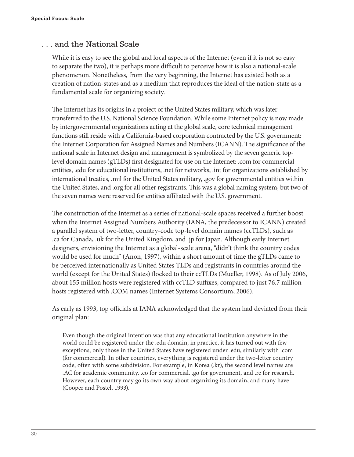## . . . and the National Scale

While it is easy to see the global and local aspects of the Internet (even if it is not so easy to separate the two), it is perhaps more difficult to perceive how it is also a national-scale phenomenon. Nonetheless, from the very beginning, the Internet has existed both as a creation of nation-states and as a medium that reproduces the ideal of the nation-state as a fundamental scale for organizing society.

The Internet has its origins in a project of the United States military, which was later transferred to the U.S. National Science Foundation. While some Internet policy is now made by intergovernmental organizations acting at the global scale, core technical management functions still reside with a California-based corporation contracted by the U.S. government: the Internet Corporation for Assigned Names and Numbers (ICANN). The significance of the national scale in Internet design and management is symbolized by the seven generic toplevel domain names (gTLDs) first designated for use on the Internet: .com for commercial entities, .edu for educational institutions, .net for networks, .int for organizations established by international treaties, .mil for the United States military, .gov for governmental entities within the United States, and .org for all other registrants. This was a global naming system, but two of the seven names were reserved for entities affiliated with the U.S. government.

The construction of the Internet as a series of national-scale spaces received a further boost when the Internet Assigned Numbers Authority (IANA, the predecessor to ICANN) created a parallel system of two-letter, country-code top-level domain names (ccTLDs), such as .ca for Canada, .uk for the United Kingdom, and .jp for Japan. Although early Internet designers, envisioning the Internet as a global-scale arena, "didn't think the country codes would be used for much" (Anon, 1997), within a short amount of time the gTLDs came to be perceived internationally as United States TLDs and registrants in countries around the world (except for the United States) flocked to their ccTLDs (Mueller, 1998). As of July 2006, about 155 million hosts were registered with ccTLD suffixes, compared to just 76.7 million hosts registered with .COM names (Internet Systems Consortium, 2006).

As early as 1993, top officials at IANA acknowledged that the system had deviated from their original plan:

Even though the original intention was that any educational institution anywhere in the world could be registered under the .edu domain, in practice, it has turned out with few exceptions, only those in the United States have registered under .edu, similarly with .com (for commercial). In other countries, everything is registered under the two-letter country code, often with some subdivision. For example, in Korea (.kr), the second level names are .AC for academic community, .co for commercial, .go for government, and .re for research. However, each country may go its own way about organizing its domain, and many have (Cooper and Postel, 1993).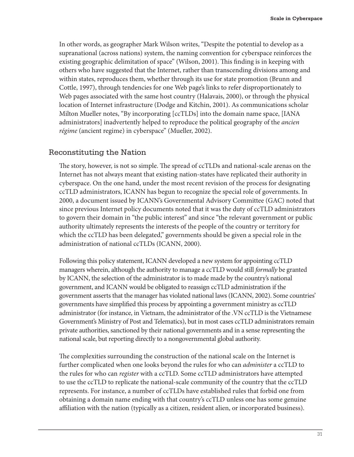In other words, as geographer Mark Wilson writes, "Despite the potential to develop as a supranational (across nations) system, the naming convention for cyberspace reinforces the existing geographic delimitation of space" (Wilson, 2001). This finding is in keeping with others who have suggested that the Internet, rather than transcending divisions among and within states, reproduces them, whether through its use for state promotion (Brunn and Cottle, 1997), through tendencies for one Web page's links to refer disproportionately to Web pages associated with the same host country (Halavais, 2000), or through the physical location of Internet infrastructure (Dodge and Kitchin, 2001). As communications scholar Milton Mueller notes, "By incorporating [ccTLDs] into the domain name space, [IANA administrators] inadvertently helped to reproduce the political geography of the *ancien régime* (ancient regime) in cyberspace" (Mueller, 2002).

#### Reconstituting the Nation

The story, however, is not so simple. The spread of ccTLDs and national-scale arenas on the Internet has not always meant that existing nation-states have replicated their authority in cyberspace. On the one hand, under the most recent revision of the process for designating ccTLD administrators, ICANN has begun to recognize the special role of governments. In 2000, a document issued by ICANN's Governmental Advisory Committee (GAC) noted that since previous Internet policy documents noted that it was the duty of ccTLD administrators to govern their domain in "the public interest" and since "the relevant government or public authority ultimately represents the interests of the people of the country or territory for which the ccTLD has been delegated," governments should be given a special role in the administration of national ccTLDs (ICANN, 2000).

Following this policy statement, ICANN developed a new system for appointing ccTLD managers wherein, although the authority to manage a ccTLD would still *formally* be granted by ICANN, the selection of the administrator is to made made by the country's national government, and ICANN would be obligated to reassign ccTLD administration if the government asserts that the manager has violated national laws (ICANN, 2002). Some countries' governments have simplified this process by appointing a government ministry as ccTLD administrator (for instance, in Vietnam, the administrator of the .VN ccTLD is the Vietnamese Government's Ministry of Post and Telematics), but in most cases ccTLD administrators remain private authorities, sanctioned by their national governments and in a sense representing the national scale, but reporting directly to a nongovernmental global authority.

The complexities surrounding the construction of the national scale on the Internet is further complicated when one looks beyond the rules for who can *administer* a ccTLD to the rules for who can *register* with a ccTLD. Some ccTLD administrators have attempted to use the ccTLD to replicate the national-scale community of the country that the ccTLD represents. For instance, a number of ccTLDs have established rules that forbid one from obtaining a domain name ending with that country's ccTLD unless one has some genuine affiliation with the nation (typically as a citizen, resident alien, or incorporated business).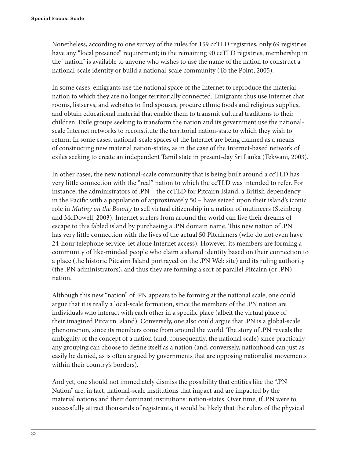Nonetheless, according to one survey of the rules for 159 ccTLD registries, only 69 registries have any "local presence" requirement; in the remaining 90 ccTLD registries, membership in the "nation" is available to anyone who wishes to use the name of the nation to construct a national-scale identity or build a national-scale community (To the Point, 2005).

In some cases, emigrants use the national space of the Internet to reproduce the material nation to which they are no longer territorially connected. Emigrants thus use Internet chat rooms, listservs, and websites to find spouses, procure ethnic foods and religious supplies, and obtain educational material that enable them to transmit cultural traditions to their children. Exile groups seeking to transform the nation and its government use the nationalscale Internet networks to reconstitute the territorial nation-state to which they wish to return. In some cases, national-scale spaces of the Internet are being claimed as a means of constructing new material nation-states, as in the case of the Internet-based network of exiles seeking to create an independent Tamil state in present-day Sri Lanka (Tekwani, 2003).

In other cases, the new national-scale community that is being built around a ccTLD has very little connection with the "real" nation to which the ccTLD was intended to refer. For instance, the administrators of .PN – the ccTLD for Pitcairn Island, a British dependency in the Pacific with a population of approximately 50 – have seized upon their island's iconic role in *Mutiny on the Bounty* to sell virtual citizenship in a nation of mutineers (Steinberg and McDowell, 2003). Internet surfers from around the world can live their dreams of escape to this fabled island by purchasing a .PN domain name. This new nation of .PN has very little connection with the lives of the actual 50 Pitcairners (who do not even have 24-hour telephone service, let alone Internet access). However, its members are forming a community of like-minded people who claim a shared identity based on their connection to a place (the historic Pitcairn Island portrayed on the .PN Web site) and its ruling authority (the .PN administrators), and thus they are forming a sort of parallel Pitcairn (or .PN) nation.

Although this new "nation" of .PN appears to be forming at the national scale, one could argue that it is really a local-scale formation, since the members of the .PN nation are individuals who interact with each other in a specific place (albeit the virtual place of their imagined Pitcairn Island). Conversely, one also could argue that .PN is a global-scale phenomenon, since its members come from around the world. The story of .PN reveals the ambiguity of the concept of a nation (and, consequently, the national scale) since practically any grouping can choose to define itself as a nation (and, conversely, nationhood can just as easily be denied, as is often argued by governments that are opposing nationalist movements within their country's borders).

And yet, one should not immediately dismiss the possibility that entities like the ".PN Nation" are, in fact, national-scale institutions that impact and are impacted by the material nations and their dominant institutions: nation-states. Over time, if .PN were to successfully attract thousands of registrants, it would be likely that the rulers of the physical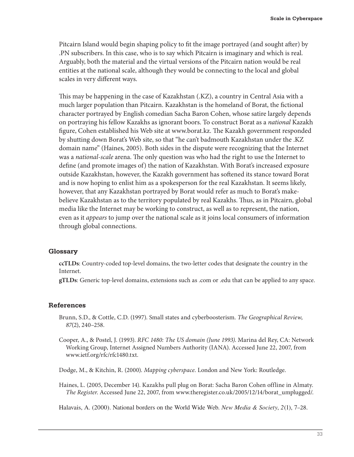Pitcairn Island would begin shaping policy to fit the image portrayed (and sought after) by .PN subscribers. In this case, who is to say which Pitcairn is imaginary and which is real. Arguably, both the material and the virtual versions of the Pitcairn nation would be real entities at the national scale, although they would be connecting to the local and global scales in very different ways.

This may be happening in the case of Kazakhstan (.KZ), a country in Central Asia with a much larger population than Pitcairn. Kazakhstan is the homeland of Borat, the fictional character portrayed by English comedian Sacha Baron Cohen, whose satire largely depends on portraying his fellow Kazakhs as ignorant boors. To construct Borat as a *national* Kazakh figure, Cohen established his Web site at www.borat.kz. The Kazakh government responded by shutting down Borat's Web site, so that "he can't badmouth Kazakhstan under the .KZ domain name" (Haines, 2005). Both sides in the dispute were recognizing that the Internet was a *national-scale* arena. The only question was who had the right to use the Internet to define (and promote images of) the nation of Kazakhstan. With Borat's increased exposure outside Kazakhstan, however, the Kazakh government has softened its stance toward Borat and is now hoping to enlist him as a spokesperson for the real Kazakhstan. It seems likely, however, that any Kazakhstan portrayed by Borat would refer as much to Borat's makebelieve Kazakhstan as to the territory populated by real Kazakhs. Thus, as in Pitcairn, global media like the Internet may be working to construct, as well as to represent, the nation, even as it *appears* to jump over the national scale as it joins local consumers of information through global connections.

#### **Glossary**

**ccTLDs**: Country-coded top-level domains, the two-letter codes that designate the country in the Internet.

**gTLDs**: Generic top-level domains, extensions such as .com or .edu that can be applied to any space.

#### **References**

- Brunn, S.D., & Cottle, C.D. (1997). Small states and cyberboosterism. *The Geographical Review*, *87*(2), 240–258.
- Cooper, A., & Postel, J. (1993). *RFC 1480: The US domain (June 1993)*. Marina del Rey, CA: Network Working Group, Internet Assigned Numbers Authority (IANA). Accessed June 22, 2007, from www.ietf.org/rfc/rfc1480.txt.

Dodge, M., & Kitchin, R. (2000). *Mapping cyberspace*. London and New York: Routledge.

Haines, L. (2005, December 14). Kazakhs pull plug on Borat: Sacha Baron Cohen offline in Almaty. *The Register*. Accessed June 22, 2007, from www.theregister.co.uk/2005/12/14/borat\_umplugged/.

Halavais, A. (2000). National borders on the World Wide Web. *New Media & Society*, *2*(1), 7–28.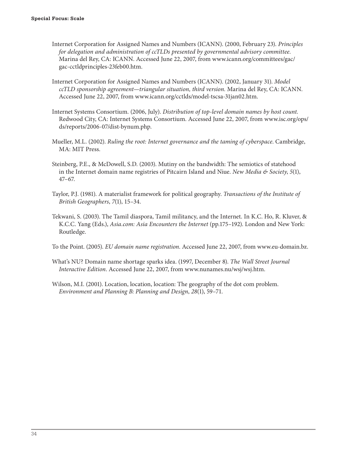- Internet Corporation for Assigned Names and Numbers (ICANN). (2000, February 23). *Principles for delegation and administration of ccTLDs presented by governmental advisory committee.* Marina del Rey, CA: ICANN. Accessed June 22, 2007, from www.icann.org/committees/gac/ gac-cctldprinciples-23feb00.htm.
- Internet Corporation for Assigned Names and Numbers (ICANN). (2002, January 31). *Model ccTLD sponsorship agreement—triangular situation, third version.* Marina del Rey, CA: ICANN. Accessed June 22, 2007, from www.icann.org/cctlds/model-tscsa-31jan02.htm.
- Internet Systems Consortium. (2006, July). *Distribution of top-level domain names by host count.*  Redwood City, CA: Internet Systems Consortium. Accessed June 22, 2007, from www.isc.org/ops/ ds/reports/2006-07/dist-bynum.php.
- Mueller, M.L. (2002). *Ruling the root: Internet governance and the taming of cyberspace*. Cambridge, MA: MIT Press.
- Steinberg, P.E., & McDowell, S.D. (2003). Mutiny on the bandwidth: The semiotics of statehood in the Internet domain name registries of Pitcairn Island and Niue. *New Media & Society*, *5*(1), 47–67.
- Taylor, P.J. (1981). A materialist framework for political geography. *Transactions of the Institute of British Geographers*, *7*(1), 15–34.
- Tekwani, S. (2003). The Tamil diaspora, Tamil militancy, and the Internet. In K.C. Ho, R. Kluver, & K.C.C. Yang (Eds.), *Asia.com: Asia Encounters the Internet* (pp.175–192). London and New York: Routledge.

To the Point. (2005). *EU domain name registration*. Accessed June 22, 2007, from www.eu-domain.bz.

- What's NU? Domain name shortage sparks idea. (1997, December 8). *The Wall Street Journal Interactive Edition*. Accessed June 22, 2007, from www.nunames.nu/wsj/wsj.htm.
- Wilson, M.I. (2001). Location, location, location: The geography of the dot com problem. *Environment and Planning B: Planning and Design*, *28*(1), 59–71.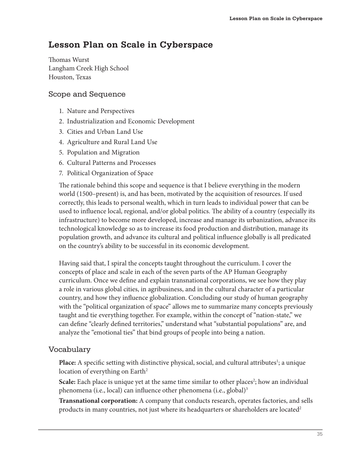# **Lesson Plan on Scale in Cyberspace**

Thomas Wurst Langham Creek High School Houston, Texas

#### Scope and Sequence

- 1. Nature and Perspectives
- 2. Industrialization and Economic Development
- 3. Cities and Urban Land Use
- 4. Agriculture and Rural Land Use
- 5. Population and Migration
- 6. Cultural Patterns and Processes
- 7. Political Organization of Space

The rationale behind this scope and sequence is that I believe everything in the modern world (1500–present) is, and has been, motivated by the acquisition of resources. If used correctly, this leads to personal wealth, which in turn leads to individual power that can be used to influence local, regional, and/or global politics. The ability of a country (especially its infrastructure) to become more developed, increase and manage its urbanization, advance its technological knowledge so as to increase its food production and distribution, manage its population growth, and advance its cultural and political influence globally is all predicated on the country's ability to be successful in its economic development.

Having said that, I spiral the concepts taught throughout the curriculum. I cover the concepts of place and scale in each of the seven parts of the AP Human Geography curriculum. Once we define and explain transnational corporations, we see how they play a role in various global cities, in agribusiness, and in the cultural character of a particular country, and how they influence globalization. Concluding our study of human geography with the "political organization of space" allows me to summarize many concepts previously taught and tie everything together. For example, within the concept of "nation-state," we can define "clearly defined territories," understand what "substantial populations" are, and analyze the "emotional ties" that bind groups of people into being a nation.

#### Vocabulary

Place: A specific setting with distinctive physical, social, and cultural attributes<sup>1</sup>; a unique location of everything on Earth<sup>2</sup>

Scale: Each place is unique yet at the same time similar to other places<sup>2</sup>; how an individual phenomena (i.e., local) can influence other phenomena (i.e., global) $3$ 

**Transnational corporation:** A company that conducts research, operates factories, and sells products in many countries, not just where its headquarters or shareholders are located<sup>2</sup>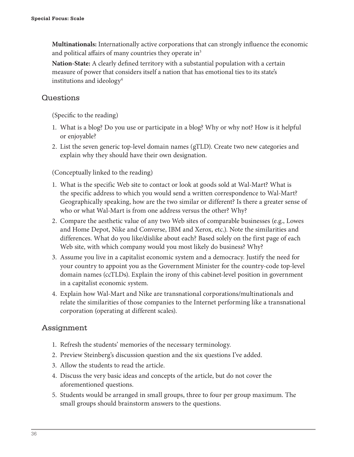**Multinationals:** Internationally active corporations that can strongly influence the economic and political affairs of many countries they operate in<sup>3</sup>

Nation-State: A clearly defined territory with a substantial population with a certain measure of power that considers itself a nation that has emotional ties to its state's institutions and ideology<sup>4</sup>

#### Questions

(Specific to the reading)

- 1. What is a blog? Do you use or participate in a blog? Why or why not? How is it helpful or enjoyable?
- 2. List the seven generic top-level domain names (gTLD). Create two new categories and explain why they should have their own designation.

(Conceptually linked to the reading)

- 1. What is the specific Web site to contact or look at goods sold at Wal-Mart? What is the specific address to which you would send a written correspondence to Wal-Mart? Geographically speaking, how are the two similar or different? Is there a greater sense of who or what Wal-Mart is from one address versus the other? Why?
- 2. Compare the aesthetic value of any two Web sites of comparable businesses (e.g., Lowes and Home Depot, Nike and Converse, IBM and Xerox, etc.). Note the similarities and differences. What do you like/dislike about each? Based solely on the first page of each Web site, with which company would you most likely do business? Why?
- 3. Assume you live in a capitalist economic system and a democracy. Justify the need for your country to appoint you as the Government Minister for the country-code top-level domain names (ccTLDs). Explain the irony of this cabinet-level position in government in a capitalist economic system.
- 4. Explain how Wal-Mart and Nike are transnational corporations/multinationals and relate the similarities of those companies to the Internet performing like a transnational corporation (operating at different scales).

#### Assignment

- 1. Refresh the students' memories of the necessary terminology.
- 2. Preview Steinberg's discussion question and the six questions I've added.
- 3. Allow the students to read the article.
- 4. Discuss the very basic ideas and concepts of the article, but do not cover the aforementioned questions.
- 5. Students would be arranged in small groups, three to four per group maximum. The small groups should brainstorm answers to the questions.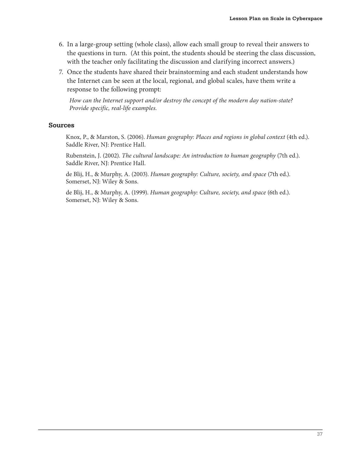- 6. In a large-group setting (whole class), allow each small group to reveal their answers to the questions in turn. (At this point, the students should be steering the class discussion, with the teacher only facilitating the discussion and clarifying incorrect answers.)
- 7. Once the students have shared their brainstorming and each student understands how the Internet can be seen at the local, regional, and global scales, have them write a response to the following prompt:

*How can the Internet support and/or destroy the concept of the modern day nation-state? Provide specific, real-life examples.*

#### **Sources**

 Knox, P., & Marston, S. (2006). *Human geography: Places and regions in global context* (4th ed.). Saddle River, NJ: Prentice Hall.

 Rubenstein, J. (2002). *The cultural landscape: An introduction to human geography* (7th ed.). Saddle River, NJ: Prentice Hall.

 de Blij, H., & Murphy, A. (2003). *Human geography: Culture, society, and space* (7th ed.). Somerset, NJ: Wiley & Sons.

 de Blij, H., & Murphy, A. (1999). *Human geography: Culture, society, and space* (6th ed.). Somerset, NJ: Wiley & Sons.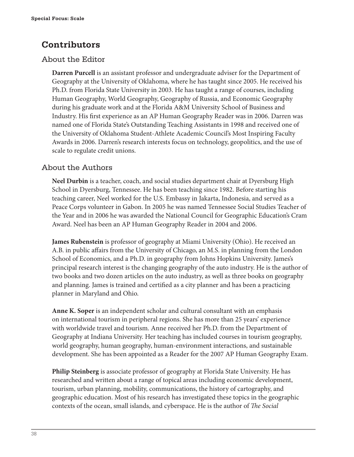# **Contributors**

#### About the Editor

**Darren Purcell** is an assistant professor and undergraduate adviser for the Department of Geography at the University of Oklahoma, where he has taught since 2005. He received his Ph.D. from Florida State University in 2003. He has taught a range of courses, including Human Geography, World Geography, Geography of Russia, and Economic Geography during his graduate work and at the Florida A&M University School of Business and Industry. His first experience as an AP Human Geography Reader was in 2006. Darren was named one of Florida State's Outstanding Teaching Assistants in 1998 and received one of the University of Oklahoma Student-Athlete Academic Council's Most Inspiring Faculty Awards in 2006. Darren's research interests focus on technology, geopolitics, and the use of scale to regulate credit unions.

#### About the Authors

**Neel Durbin** is a teacher, coach, and social studies department chair at Dyersburg High School in Dyersburg, Tennessee. He has been teaching since 1982. Before starting his teaching career, Neel worked for the U.S. Embassy in Jakarta, Indonesia, and served as a Peace Corps volunteer in Gabon. In 2005 he was named Tennessee Social Studies Teacher of the Year and in 2006 he was awarded the National Council for Geographic Education's Cram Award. Neel has been an AP Human Geography Reader in 2004 and 2006.

**James Rubenstein** is professor of geography at Miami University (Ohio). He received an A.B. in public affairs from the University of Chicago, an M.S. in planning from the London School of Economics, and a Ph.D. in geography from Johns Hopkins University. James's principal research interest is the changing geography of the auto industry. He is the author of two books and two dozen articles on the auto industry, as well as three books on geography and planning. James is trained and certified as a city planner and has been a practicing planner in Maryland and Ohio.

**Anne K. Soper** is an independent scholar and cultural consultant with an emphasis on international tourism in peripheral regions. She has more than 25 years' experience with worldwide travel and tourism. Anne received her Ph.D. from the Department of Geography at Indiana University. Her teaching has included courses in tourism geography, world geography, human geography, human-environment interactions, and sustainable development. She has been appointed as a Reader for the 2007 AP Human Geography Exam.

**Philip Steinberg** is associate professor of geography at Florida State University. He has researched and written about a range of topical areas including economic development, tourism, urban planning, mobility, communications, the history of cartography, and geographic education. Most of his research has investigated these topics in the geographic contexts of the ocean, small islands, and cyberspace. He is the author of *The Social*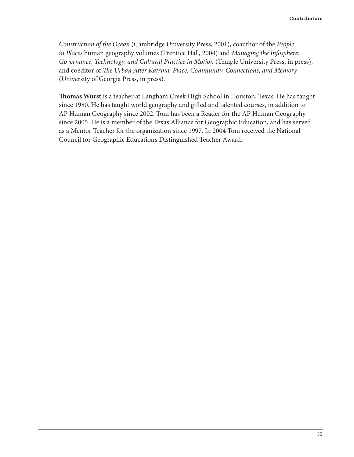*Construction of the Ocean* (Cambridge University Press, 2001), coauthor of the *People in Places* human geography volumes (Prentice Hall, 2004) and *Managing the Infosphere: Governance, Technology, and Cultural Practice in Motion* (Temple University Press, in press), and coeditor of *The Urban After Katrina: Place, Community, Connections, and Memory* (University of Georgia Press, in press).

**Thomas Wurst** is a teacher at Langham Creek High School in Houston, Texas. He has taught since 1980. He has taught world geography and gifted and talented courses, in addition to AP Human Geography since 2002. Tom has been a Reader for the AP Human Geography since 2005. He is a member of the Texas Alliance for Geographic Education, and has served as a Mentor Teacher for the organization since 1997. In 2004 Tom received the National Council for Geographic Education's Distinguished Teacher Award.